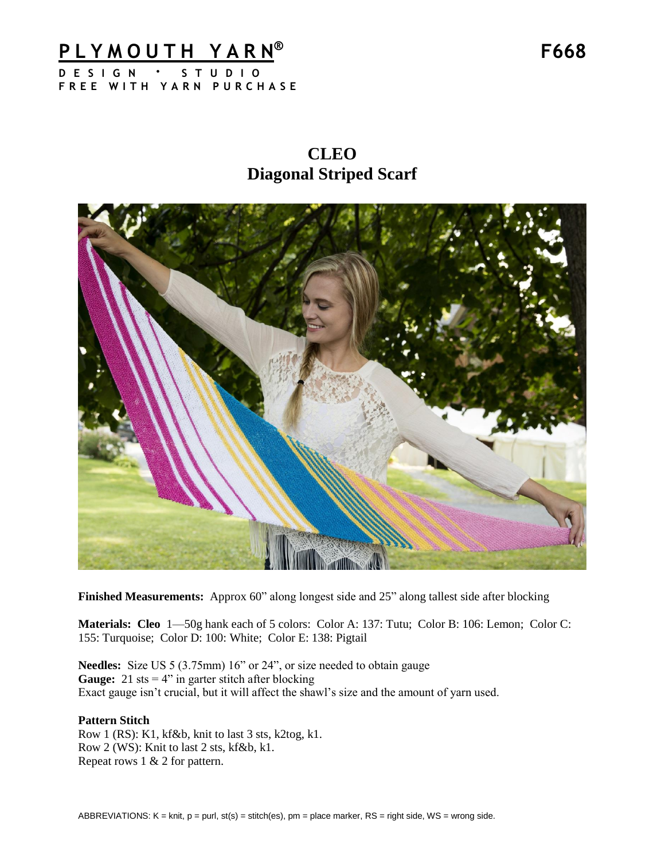### **P L Y M O U T H Y A R N D E S I G N · S T U D I O**

**F R E E W I T H Y A R N P U R C H A S E**

**CLEO Diagonal Striped Scarf**



**Finished Measurements:** Approx 60" along longest side and 25" along tallest side after blocking

**Materials: Cleo** 1—50g hank each of 5 colors: Color A: 137: Tutu; Color B: 106: Lemon; Color C: 155: Turquoise; Color D: 100: White; Color E: 138: Pigtail

**Needles:** Size US 5 (3.75mm) 16" or 24", or size needed to obtain gauge **Gauge:** 21 sts  $= 4$ " in garter stitch after blocking Exact gauge isn't crucial, but it will affect the shawl's size and the amount of yarn used.

#### **Pattern Stitch**

Row 1 (RS): K1, kf&b, knit to last 3 sts, k2tog, k1. Row 2 (WS): Knit to last 2 sts, kf&b, k1. Repeat rows 1 & 2 for pattern.

**® F668**